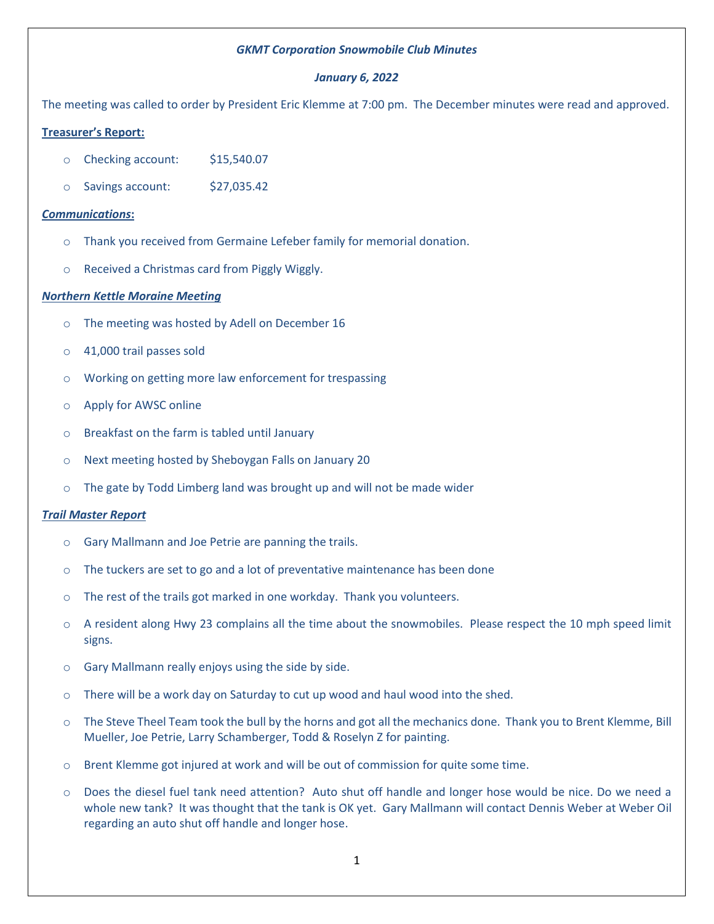# *GKMT Corporation Snowmobile Club Minutes*

# *January 6, 2022*

The meeting was called to order by President Eric Klemme at 7:00 pm. The December minutes were read and approved.

# **Treasurer's Report:**

- o Checking account: \$15,540.07
- o Savings account: \$27,035.42

### *Communications***:**

- o Thank you received from Germaine Lefeber family for memorial donation.
- o Received a Christmas card from Piggly Wiggly.

### *Northern Kettle Moraine Meeting*

- o The meeting was hosted by Adell on December 16
- o 41,000 trail passes sold
- o Working on getting more law enforcement for trespassing
- o Apply for AWSC online
- o Breakfast on the farm is tabled until January
- o Next meeting hosted by Sheboygan Falls on January 20
- $\circ$  The gate by Todd Limberg land was brought up and will not be made wider

#### *Trail Master Report*

- o Gary Mallmann and Joe Petrie are panning the trails.
- $\circ$  The tuckers are set to go and a lot of preventative maintenance has been done
- o The rest of the trails got marked in one workday. Thank you volunteers.
- $\circ$  A resident along Hwy 23 complains all the time about the snowmobiles. Please respect the 10 mph speed limit signs.
- o Gary Mallmann really enjoys using the side by side.
- $\circ$  There will be a work day on Saturday to cut up wood and haul wood into the shed.
- $\circ$  The Steve Theel Team took the bull by the horns and got all the mechanics done. Thank you to Brent Klemme, Bill Mueller, Joe Petrie, Larry Schamberger, Todd & Roselyn Z for painting.
- o Brent Klemme got injured at work and will be out of commission for quite some time.
- o Does the diesel fuel tank need attention? Auto shut off handle and longer hose would be nice. Do we need a whole new tank? It was thought that the tank is OK yet. Gary Mallmann will contact Dennis Weber at Weber Oil regarding an auto shut off handle and longer hose.